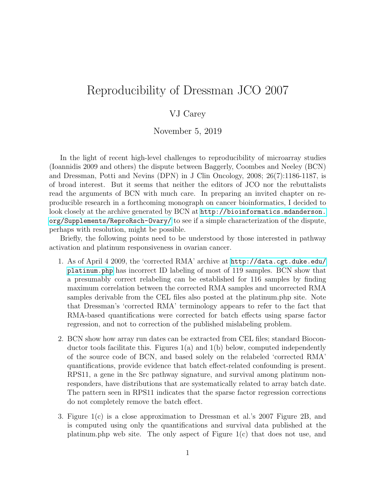## Reproducibility of Dressman JCO 2007

## VJ Carey

November 5, 2019

In the light of recent high-level challenges to reproducibility of microarray studies (Ioannidis 2009 and others) the dispute between Baggerly, Coombes and Neeley (BCN) and Dressman, Potti and Nevins (DPN) in J Clin Oncology, 2008; 26(7):1186-1187, is of broad interest. But it seems that neither the editors of JCO nor the rebuttalists read the arguments of BCN with much care. In preparing an invited chapter on reproducible research in a forthcoming monograph on cancer bioinformatics, I decided to look closely at the archive generated by BCN at  $http://bioinformatics.mdanderson.$ [org/Supplements/ReproRsch-Ovary/](http://bioinformatics.mdanderson.org/Supplements/ReproRsch-Ovary/) to see if a simple characterization of the dispute, perhaps with resolution, might be possible.

Briefly, the following points need to be understood by those interested in pathway activation and platinum responsiveness in ovarian cancer.

- 1. As of April 4 2009, the 'corrected RMA' archive at [http://data.cgt.duke.edu/](http://data.cgt.duke.edu/platinum.php) [platinum.php](http://data.cgt.duke.edu/platinum.php) has incorrect ID labeling of most of 119 samples. BCN show that a presumably correct relabeling can be established for 116 samples by finding maximum correlation between the corrected RMA samples and uncorrected RMA samples derivable from the CEL files also posted at the platinum.php site. Note that Dressman's 'corrected RMA' terminology appears to refer to the fact that RMA-based quantifications were corrected for batch effects using sparse factor regression, and not to correction of the published mislabeling problem.
- 2. BCN show how array run dates can be extracted from CEL files; standard Bioconductor tools facilitate this. Figures  $1(a)$  and  $1(b)$  below, computed independently of the source code of BCN, and based solely on the relabeled 'corrected RMA' quantifications, provide evidence that batch effect-related confounding is present. RPS11, a gene in the Src pathway signature, and survival among platinum nonresponders, have distributions that are systematically related to array batch date. The pattern seen in RPS11 indicates that the sparse factor regression corrections do not completely remove the batch effect.
- 3. Figure 1(c) is a close approximation to Dressman et al.'s 2007 Figure 2B, and is computed using only the quantifications and survival data published at the platinum.php web site. The only aspect of Figure  $1(c)$  that does not use, and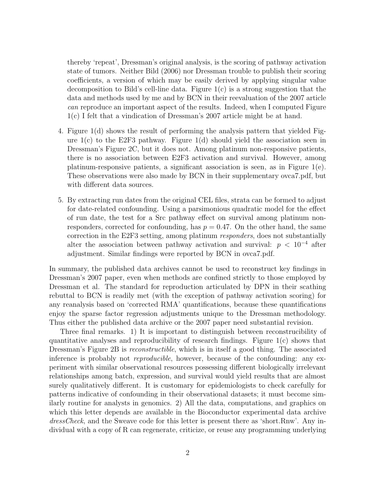thereby 'repeat', Dressman's original analysis, is the scoring of pathway activation state of tumors. Neither Bild (2006) nor Dressman trouble to publish their scoring coefficients, a version of which may be easily derived by applying singular value decomposition to Bild's cell-line data. Figure  $1(c)$  is a strong suggestion that the data and methods used by me and by BCN in their reevaluation of the 2007 article can reproduce an important aspect of the results. Indeed, when I computed Figure 1(c) I felt that a vindication of Dressman's 2007 article might be at hand.

- 4. Figure 1(d) shows the result of performing the analysis pattern that yielded Figure  $1(c)$  to the E2F3 pathway. Figure  $1(d)$  should yield the association seen in Dressman's Figure 2C, but it does not. Among platinum non-responsive patients, there is no association between E2F3 activation and survival. However, among platinum-responsive patients, a significant association is seen, as in Figure  $1(e)$ . These observations were also made by BCN in their supplementary ovca7.pdf, but with different data sources.
- 5. By extracting run dates from the original CEL files, strata can be formed to adjust for date-related confounding. Using a parsimonious quadratic model for the effect of run date, the test for a Src pathway effect on survival among platinum nonresponders, corrected for confounding, has  $p = 0.47$ . On the other hand, the same correction in the E2F3 setting, among platinum responders, does not substantially alter the association between pathway activation and survival:  $p < 10^{-4}$  after adjustment. Similar findings were reported by BCN in ovca7.pdf.

In summary, the published data archives cannot be used to reconstruct key findings in Dressman's 2007 paper, even when methods are confined strictly to those employed by Dressman et al. The standard for reproduction articulated by DPN in their scathing rebuttal to BCN is readily met (with the exception of pathway activation scoring) for any reanalysis based on 'corrected RMA' quantifications, because these quantifications enjoy the sparse factor regression adjustments unique to the Dressman methodology. Thus either the published data archive or the 2007 paper need substantial revision.

Three final remarks. 1) It is important to distinguish between reconstrucibility of quantitative analyses and reproducibility of research findings. Figure 1(c) shows that Dressman's Figure 2B is *reconstructible*, which is in itself a good thing. The associated inference is probably not *reproducible*, however, because of the confounding: any experiment with similar observational resources possessing different biologically irrelevant relationships among batch, expression, and survival would yield results that are almost surely qualitatively different. It is customary for epidemiologists to check carefully for patterns indicative of confounding in their observational datasets; it must become similarly routine for analysts in genomics. 2) All the data, computations, and graphics on which this letter depends are available in the Bioconductor experimental data archive dressCheck, and the Sweave code for this letter is present there as 'short.Rnw'. Any individual with a copy of R can regenerate, criticize, or reuse any programming underlying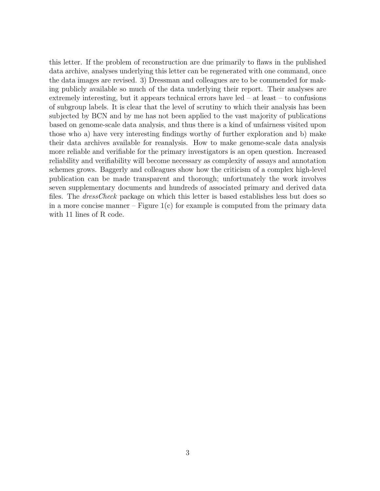this letter. If the problem of reconstruction are due primarily to flaws in the published data archive, analyses underlying this letter can be regenerated with one command, once the data images are revised. 3) Dressman and colleagues are to be commended for making publicly available so much of the data underlying their report. Their analyses are extremely interesting, but it appears technical errors have led – at least – to confusions of subgroup labels. It is clear that the level of scrutiny to which their analysis has been subjected by BCN and by me has not been applied to the vast majority of publications based on genome-scale data analysis, and thus there is a kind of unfairness visited upon those who a) have very interesting findings worthy of further exploration and b) make their data archives available for reanalysis. How to make genome-scale data analysis more reliable and verifiable for the primary investigators is an open question. Increased reliability and verifiability will become necessary as complexity of assays and annotation schemes grows. Baggerly and colleagues show how the criticism of a complex high-level publication can be made transparent and thorough; unfortunately the work involves seven supplementary documents and hundreds of associated primary and derived data files. The *dressCheck* package on which this letter is based establishes less but does so in a more concise manner – Figure  $1(c)$  for example is computed from the primary data with 11 lines of R code.